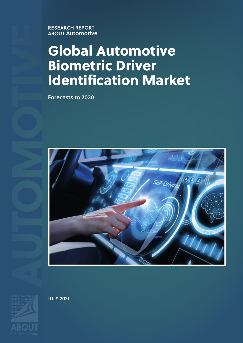**ABOUT Automotive**

# **Global Automotive Biometric Driver Identification Market**

**Forecasts to 2030**



**JULY 2021**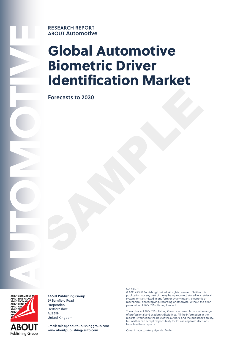

# **ABOUT Automotive**

# **Global Automotive Biometric Driver Identification Market**

Forecasts to 2030<br>SAMPLE POINT OF THE CONFIDENTIAL OF THE CONFIDENTIAL OF THE CONFIDENTIAL OF THE CONFIDENTIAL OF THE CONFIDENTIAL OF THE CONFIDENTIAL OF THE CONFIDENTIAL OF THE CONFIDENTIAL OF THE CONFIDENTIAL OF THE CONF **Forecasts to 2030**



#### **ABOUT Publishing Group** 29 Barnfield Road Harpenden **Hertfordshire** AL5 5TH

United Kingdom Email: sales@aboutpublishinggroup.com

**www.aboutpublishing-auto.com**

**COPYRIGHT** 

© 2021 ABOUT Publishing Limited. All rights reserved. Neither this publication nor any part of it may be reproduced, stored in a retrieval system, or transmitted in any form or by any means, electronic or mechanical, photocopying, recording or otherwise, without the prior permission of ABOUT Publishing Limited.

The authors of ABOUT Publishing Group are drawn from a wide range of professional and academic disciplines. All the information in the reports is verified to the best of the authors' and the publisher's ability, but neither can accept responsibility for loss arising from decisions based on these reports.

Cover image courtesy Hyundai Mobis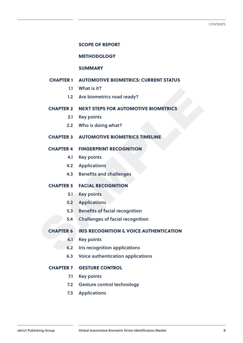#### **SCOPE OF REPORT**

#### **METHODOLOGY**

#### **SUMMARY**

#### **Chapter 1 AUTOMOTIVE BIOMETRICS: CURRENT STATUS**

- **1.1 What is it?**
- **1.2 Are biometrics road ready?**

# 1.1 What is it?<br>
1.2 Are biometrics road ready?<br>
CHAPTER 2 NEXT STEPS FOR AUTOMOTIVE BIOMETRICS<br>
2.1 Key points<br>
2.2 Who is doing what?<br>
CHAPTER 3 AUTOMOTIVE BIOMETRICS TIMELINE<br>
CHAPTER 4 FINGERPRINT RECOGNITION<br>
4.1 Key **Chapter 2 NEXT STEPS FOR AUTOMOTIVE BIOMETRICS**

- **2.1 Key points**
- **2.2 Who is doing what?**

#### **Chapter 3 AUTOMOTIVE BIOMETRICS TIMELINE**

#### **Chapter 4 FINGERPRINT RECOGNITION**

- **4.1 Key points**
- **4.2 Applications**
- **4.3 Benefits and challenges**

#### **Chapter 5 FACIAL RECOGNITION**

- **5.1 Key points**
- **5.2 Applications**
- **5.3 Benefits of facial recognition**
- **5.4 Challenges of facial recognition**

#### **Chapter 6 IRIS RECOGNITION & VOICE AUTHENTICATION**

- **6.1 Key points**
- **6.2 Iris recognition applications**
- **6.3 Voice authentication applications**

#### **Chapter 7 GESTURE CONTROL**

- **7.1 Key points**
- **7.2 Gesture control technology**
- **7.3 Applications**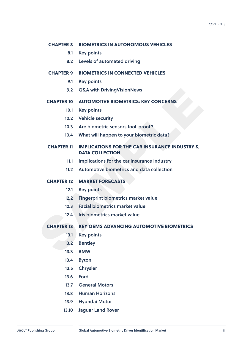#### **Chapter 8 BIOMETRICS IN AUTONOMOUS VEHICLES**

- **8.1 Key points**
- **8.2 Levels of automated driving**

#### **Chapter 9 BIOMETRICS IN CONNECTED VEHICLES**

- **9.1 Key points**
- **9.2 Q&A with DrivingVisionNews**

#### **Chapter 10 AUTOMOTIVE BIOMETRICS: KEY CONCERNS**

- **10.1 Key points**
- **10.2 Vehicle security**
- **10.3 Are biometric sensors fool-proof?**
- **10.4 What will happen to your biometric data?**

# 9.2 Q&A with DrivingVisionNews<br>
CHAPTER 10 AUTOMOTIVE BIOMETRICS: KEY CONCERNS<br>
10.1 Key points<br>
10.2 Vehicle security<br>
10.3 Are biometric sensors fool-proof?<br>
10.4 What will happen to your biometric data?<br>
CHAPTER 11 IMPL **Chapter 11 IMPLICATIONS FOR THE CAR INSURANCE INDUSTRY & DATA COLLECTION**

- **11.1 Implications for the car insurance industry**
- **11.2 Automotive biometrics and data collection**

#### **Chapter 12 MARKET FORECASTS**

- **12.1 Key points**
- **12.2 Fingerprint biometrics market value**
- **12.3 Facial biometrics market value**
- **12.4 Iris biometrics market value**

#### **Chapter 13 KEY OEMS ADVANCING AUTOMOTIVE BIOMETRICS**

- **13.1 Key points**
- **13.2 Bentley**
- **13.3 BMW**
- **13.4 Byton**
- **13.5 Chrysler**
- **13.6 Ford**
- **13.7 General Motors**
- **13.8 Human Horizons**
- **13.9 Hyundai Motor**
- **13.10 Jaguar Land Rover**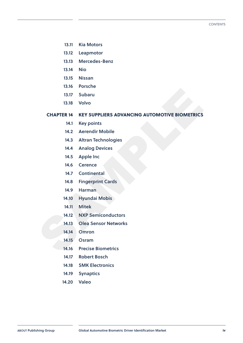- **13.11 Kia Motors**
- **13.12 Leapmotor**
- **13.13 Mercedes-Benz**
- **13.14 Nio**
- **13.15 Nissan**
- **13.16 Porsche**
- **13.17 Subaru**
- **13.18 Volvo**

13.17 Subaru<br>
13.18 Volvo<br>
CHAPTER 14 KEY SUPPLIERS ADVANCING AUTOMOTIVE BIOMETRICS<br>
14.1 Key points<br>
14.2 Aerendir Mobile<br>
14.3 Altran Technologies<br>
14.5 Apple Inc<br>
14.6 Cerence<br>
14.7 Continental<br>
14.8 Fingerprint Cards<br> **Chapter 14 KEY SUPPLIERS ADVANCING AUTOMOTIVE BIOMETRICS**

- **14.1 Key points**
- **14.2 Aerendir Mobile**
- **14.3 Altran Technologies**
- **14.4 Analog Devices**
- **14.5 Apple Inc**
- **14.6 Cerence**
- **14.7 Continental**
- **14.8 Fingerprint Cards**
- **14.9 Harman**
- **14.10 Hyundai Mobis**
- **14.11 Mitek**
- **14.12 NXP Semiconductors**
- **14.13 Olea Sensor Networks**
- **14.14 Omron**
- **14.15 Osram**
- **14.16 Precise Biometrics**
- **14.17 Robert Bosch**
- **14.18 SMK Electronics**
- **14.19 Synaptics**
- **14.20 Valeo**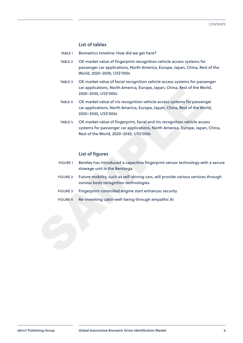#### **List of tables**

- TABLE 1 Biometrics timeline: How did we get here?
- TABLE 2 OE market value of fingerprint recognition vehicle access systems for passenger car applications, North America, Europe, Japan, China, Rest of the World, 2020–2030, US\$'000s
- TABLE 3 OE market value of facial recognition vehicle access systems for passenger car applications, North America, Europe, Japan, China, Rest of the World, 2020–2030, US\$'000s
- TABLE 4 OE market value of iris recognition vehicle access systems for passenger car applications, North America, Europe, Japan, China, Rest of the World, 2020–2030, US\$'000s
- Example along substitute of instructions, the multiple, apple it, children are applications, the mond,<br>
SAMPLE 4 OE market value of instraceoption vehicle access systems for passenger<br>
car applications, North America, Euro TABLE 5 OE market value of fingerprint, facial and iris recognition vehicle access systems for passenger car applications, North America, Europe, Japan, China, Rest of the World, 2020–2030, US\$'000s

#### **List of figures**

- FIGURE 1 Bentley has introduced a capacitive fingerprint sensor technology with a secure stowage unit in the Bentayga.
- FIGURE 2 Future mobility, such as self-driving cars, will provide various services through various body recognition technologies.
- FIGURE 3 Fingerprint-controlled engine start enhances security
- FIGURE 4 Re-inventing cabin well-being through empathic AI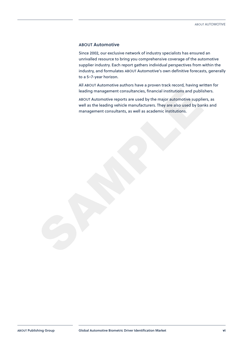#### **ABOUT Automotive**

Since 2002, our exclusive network of industry specialists has ensured an unrivalled resource to bring you comprehensive coverage of the automotive supplier industry. Each report gathers individual perspectives from within the industry, and formulates ABOUT Automotive's own definitive forecasts, generally to a 5–7-year horizon.

All ABOUT Automotive authors have a proven track record, having written for leading management consultancies, financial institutions and publishers.

leading management consultancies, financial institutions and publishers.<br>ABOUT Automotive reports are used by the major automotive suppliers, as<br>well as the leading vehicle manufacturers. They are also used by banks and<br>ma ABOUT Automotive reports are used by the major automotive suppliers, as well as the leading vehicle manufacturers. They are also used by banks and management consultants, as well as academic institutions.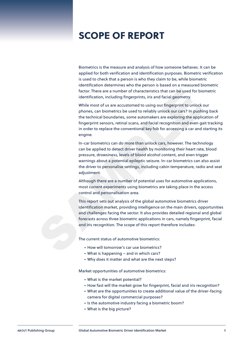## **SCOPE OF REPORT**

Biometrics is the measure and analysis of how someone behaves. It can be applied for both verification and identification purposes. Biometric verification is used to check that a person is who they claim to be, while biometric identification determines who the person is based on a measured biometric factor. There are a number of characteristics that can be used for biometric identification, including fingerprints, iris and facial geometry.

factor. There are a number of characteristics that can be used for biometric<br>
identification, including fingerprints, inis and facial geometry.<br>
While most of us are accustomed to using our fingerprint to unlock our<br>
phone While most of us are accustomed to using our fingerprint to unlock our phones, can biometrics be used to reliably unlock our cars? In pushing back the technical boundaries, some automakers are exploring the application of fingerprint sensors, retinal scans, and facial recognition and even gait tracking in order to replace the conventional key fob for accessing a car and starting its engine.

In-car biometrics can do more than unlock cars, however. The technology can be applied to detect driver health by monitoring their heart rate, blood pressure, drowsiness, levels of blood alcohol content, and even trigger warnings about a potential epileptic seizure. In-car biometrics can also assist the driver to personalise settings, including cabin temperature, radio and seat adiustment.

Although there are a number of potential uses for automotive applications, most current experiments using biometrics are taking place in the access control and personalisation area.

This report sets out analysis of the global automotive biometrics driver identification market, providing intelligence on the main drivers, opportunities and challenges facing the sector. It also provides detailed regional and global forecasts across three biometric applications in cars, namely fingerprint, facial and iris recognition. The scope of this report therefore includes:

The current status of automotive biometrics:

- How will tomorrow's car use biometrics?
- What is happening and in which cars?
- Why does it matter and what are the next steps?

Market opportunities of automotive biometrics:

- What is the market potential?
- How fast will the market grow for fingerprint, facial and iris recognition?
- What are the opportunities to create additional value of the driver-facing camera for digital commercial purposes?
- Is the automotive industry facing a biometric boom?
- What is the big picture?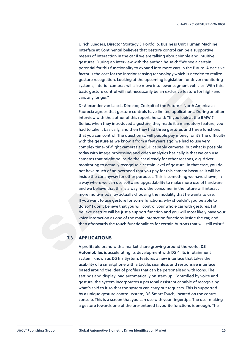Ulrich Lueders, Director Strategy & Portfolio, Business Unit Human Machine Interface at Continental believes that gesture control can be a supportive means of interaction in the car if we are talking about simple and intuitive gestures. During an interview with the author, he said: "We see a certain potential for this functionality to expand into more cars in the future. A decisive factor is the cost for the interior sensing technology which is needed to realize gesture recognition. Looking at the upcoming legislation for driver monitoring systems, interior cameras will also move into lower segment vehicles. With this, basic gesture control will not necessarily be an exclusive feature for high-end cars any longer."

basic gesture control will not necessarily be an exclusive feature for high-end<br>cas any longer."<br>
D'Alexander van Laack, Director, Cockpit of the Euture – North America at<br>
Faurecia agrees that gesture controls have limite Dr Alexander van Laack, Director, Cockpit of the Future – North America at Faurecia agrees that gesture controls have limited applications. During another interview with the author of this report, he said: "If you look at the BMW 7 Series, when they introduced a gesture, they made it a mandatory feature, you had to take it basically, and then they had three gestures and three functions that you can control. The question is: will people pay money for it? The difficulty with the gesture as we know it from a few years ago, we had to use very complex time-of-flight cameras and 3D capable cameras, but what is possible today with image processing and video analytics basically is that we can use cameras that might be inside the car already for other reasons, e.g. driver monitoring to actually recognise a certain level of gesture. In that case, you do not have much of an overhead that you pay for this camera because it will be inside the car anyway for other purposes. This is something we have shown, in a way where we can use software upgradability to make more use of hardware, and we believe that this is a way how the consumer in the future will interact more multi-modal by actually choosing the modality that he wants to use. If you want to use gesture for some functions, why shouldn't you be able to do so? I don't believe that you will control your whole car with gestures, I still believe gesture will be just a support function and you will most likely have your voice interaction as one of the main interaction functions inside the car, and then afterwards the touch functionalities for certain buttons that will still exist."

#### **7.3 APPLICATIONS**

A profitable brand with a market share growing around the world, **DS Automobiles** is accelerating its development with DS 4. Its infotainment system, known as DS Iris System, features a new interface that takes the usability of a smartphone with a tactile, seamless and responsive interface based around the idea of profiles that can be personalised with icons. The settings and display load automatically on start-up. Controlled by voice and gesture, the system incorporates a personal assistant capable of recognising what's said to it so that the system can carry out requests. This is supported by a unique gesture control system, DS Smart Touch, located on the centre console. This is a screen that you can use with your fingertips. The user making a gesture towards one of the pre-entered favourite functions is enough. The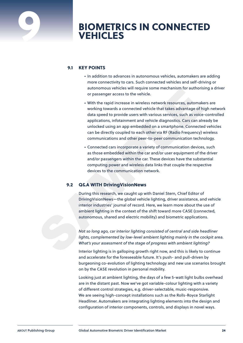

### **9 BIOMETRICS IN CONNECTED VEHICLES**

#### **9.1 KEY POINTS**

- In addition to advances in autonomous vehicles, automakers are adding more connectivity to cars. Such connected vehicles and self-driving or autonomous vehicles will require some mechanism for authorising a driver or passenger access to the vehicle.
- attronomous ventices will require some mechanism for authorising a driver<br>or passenger access to the vehicle.<br>
 With the rapid increase in wireless network resources, automakers are<br>
working towards a connected vehicle th • With the rapid increase in wireless network resources, automakers are working towards a connected vehicle that takes advantage of high network data speed to provide users with various services, such as voice-controlled applications, infotainment and vehicle diagnostics. Cars can already be unlocked using an app embedded on a smartphone. Connected vehicles can be directly coupled to each other via RF (Radio Frequency) wireless communications and other peer-to-peer communication technology.
	- Connected cars incorporate a variety of communication devices, such as those embedded within the car and/or user equipment of the driver and/or passengers within the car. These devices have the substantial computing power and wireless data links that couple the respective devices to the communication network.

#### **9.2 Q&A WITH DrivingVisionNews**

During this research, we caught up with Daniel Stern, Chief Editor of DrivingVisionNews—the global vehicle lighting, driver assistance, and vehicle interior industries' journal of record. Here, we learn more about the use of ambient lighting in the context of the shift toward more CASE (connected, autonomous, shared and electric mobility) and biometric applications.

*Not so long ago, car interior lighting consisted of central and side headliner*  lights, complemented by low-level ambient lighting mainly in the cockpit area. *What's your assessment of the stage of progress with ambient lighting?*

Interior lighting is in galloping growth right now, and this is likely to continue and accelerate for the foreseeable future. It's push- and pull-driven by burgeoning co-evolution of lighting technology and new use scenarios brought on by the CASE revolution in personal mobility.

Looking just at ambient lighting, the days of a few 5-watt light bulbs overhead are in the distant past. Now we've got variable-colour lighting with a variety of different control strategies, e.g. driver-selectable, music-responsive. We are seeing high-concept installations such as the Rolls-Royce Starlight Headliner. Automakers are integrating lighting elements into the design and configuration of interior components, controls, and displays in novel ways.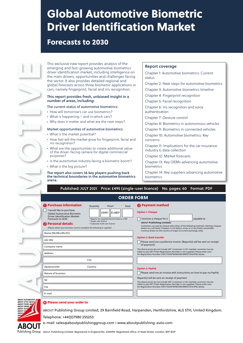# Global Automotive Biometric Driver Identification Market

#### Forecasts to 2030

This exclusive new report provides analysis of the emerging and fast-growing automotive biometrics driver identification market, including intelligence on the main drivers, opportunities and challenges facing the sector. It also provides detailed regional and global forecasts across three biometric applications in cars, namely fingerprint, facial and iris recognition.

#### This report provides fresh, unbiased insight in a number of areas, including:

The current status of automotive biometrics:

- How will tomorrow's car use biometrics?
- What is happening and in which cars?
- Why does it matter and what are the next steps?

#### Market opportunities of automotive biometrics:

- What is the market potential?
- How fast will the market grow for fingerprint, facial and iris recognition?
- What are the opportunities to create additional value of the driver-facing camera for digital commercial purposes?
- Is the automotive industry facing a biometric boom?
- What is the big picture?

The report also covers 36 key players pushing back the technical boundaries in the automotive biometrics arena.

#### Report coverage

Chapter 1: Automotive biometrics: Current status Chapter 2: Next steps for automotive biometrics

Chapter 3: Automotive biometrics timeline

Chapter 4: Fingerprint recognition

Chapter 5: Facial recognition

Chapter 6: Iris recognition and voice authentication

Chapter 7: Gesture control

Chapter 8: Biometrics in autonomous vehicles

Chapter 9: Biometrics in connected vehicles

Chapter 10: Automotive biometrics: Key concerns

Chapter 11: Implications for the car insurance industry & data collection

Chapter 12: Market forecasts

Chapter 13: Key OEMs advancing automotive biometrics

Chapter 14: Key suppliers advancing automotive biometrics

#### Published: JULY 2021 Price: £495 (single-user licence) No. pages: 60 Format: PDF

| This exclusive new re<br>emerging and fast-<br>driver identification<br>the main drivers, op<br>the sector. It also pr<br>global forecasts acro<br>cars, namely fingerp |
|-------------------------------------------------------------------------------------------------------------------------------------------------------------------------|
| This report provide<br>number of areas, ir                                                                                                                              |
| The current status of<br>• How will tomorrow<br>• What is happening<br>• Why does it matter                                                                             |
| Market opportunitie<br>• What is the market<br>How fast will the m<br>iris recognition?                                                                                 |
| What are the oppor<br>of the driver-facing<br>purposes?                                                                                                                 |
| Is the automotive in<br>What is the big pict                                                                                                                            |
| The report also cove<br>the technical bound<br>arena.                                                                                                                   |
|                                                                                                                                                                         |
| Published:                                                                                                                                                              |
|                                                                                                                                                                         |
| <b>Purchase Informatio</b><br>I would like to purchase<br>Global Automotive Biometri<br><b>Driver Identification Market:</b><br>Forecasts to 2030                       |
| 2 Personal details<br>(Please attach your business card or                                                                                                              |
| Name (Mr/Mrs/Ms/Dr)                                                                                                                                                     |
| Job title                                                                                                                                                               |
| Company name                                                                                                                                                            |
| <b>Address</b>                                                                                                                                                          |
|                                                                                                                                                                         |
| Zip/postcode<br>Nature of business                                                                                                                                      |
| Tel                                                                                                                                                                     |
| Fax                                                                                                                                                                     |

| <b>ORDER FORM</b> |  |
|-------------------|--|
|-------------------|--|

| <b>Purchase Information</b>                                                                                                                                                                                                   | Quantity              | Price*                                                                                             | <b>Total</b>                                                                                           | <b>8</b> Payment method                                                                                                                                                                                                                                                                                                                            |
|-------------------------------------------------------------------------------------------------------------------------------------------------------------------------------------------------------------------------------|-----------------------|----------------------------------------------------------------------------------------------------|--------------------------------------------------------------------------------------------------------|----------------------------------------------------------------------------------------------------------------------------------------------------------------------------------------------------------------------------------------------------------------------------------------------------------------------------------------------------|
| I would like to purchase<br><b>Global Automotive Biometric</b><br><b>Driver Identification Market:</b><br>Forecasts to 2030<br>2 Personal details<br>(Please attach your business card or complete the following in capitals) | + Single-user licence | £495   £1,485  <br>*Reports are supplied electronically as a PDF<br># Corporate multi-user licence |                                                                                                        | <b>Option 1: Cheque</b><br>I enclose a cheque for £<br>payable to<br><b>ABOUT Publishing Limited.</b><br>Customers can pay by cheque with either of the following methods: Sterling cheques<br>drawn on a UK bank; Cheques in US dollars, euros or in any freely convertible<br>currency drawn on the country of origin at current exchange rates. |
| Name (Mr/Mrs/Ms/Dr)                                                                                                                                                                                                           |                       |                                                                                                    |                                                                                                        |                                                                                                                                                                                                                                                                                                                                                    |
| Job title                                                                                                                                                                                                                     |                       |                                                                                                    | <b>Option 2: Bank transfer</b><br>Please send me a proforma invoice (Report(s) will be sent on receipt |                                                                                                                                                                                                                                                                                                                                                    |
| Company name                                                                                                                                                                                                                  |                       |                                                                                                    |                                                                                                        | of payment)                                                                                                                                                                                                                                                                                                                                        |
| Address                                                                                                                                                                                                                       |                       |                                                                                                    |                                                                                                        | The above prices do not include VAT. Customers in EU member countries may be<br>liable to pay VAT if their Registration Number is not supplied. Please enter your<br>EU Registration Number (VAT/TVA/BTW/MOMS/MWST/IVA/FPA) below:                                                                                                                 |
|                                                                                                                                                                                                                               | City                  |                                                                                                    |                                                                                                        |                                                                                                                                                                                                                                                                                                                                                    |
| Zip/postcode                                                                                                                                                                                                                  | Country               |                                                                                                    |                                                                                                        | <b>Option 3: PayPal</b>                                                                                                                                                                                                                                                                                                                            |
| Nature of business                                                                                                                                                                                                            |                       |                                                                                                    |                                                                                                        | Please send me an invoice with instructions on how to pay via PayPal.                                                                                                                                                                                                                                                                              |
| Tel                                                                                                                                                                                                                           |                       |                                                                                                    |                                                                                                        | Report(s) will be sent on receipt of payment                                                                                                                                                                                                                                                                                                       |
|                                                                                                                                                                                                                               |                       |                                                                                                    |                                                                                                        | The above prices do not include VAT. Customers in EU member countries may be<br>liable to pay VAT if their Registration Number is not supplied. Please enter your                                                                                                                                                                                  |
| Fax                                                                                                                                                                                                                           |                       |                                                                                                    |                                                                                                        | EU Registration Number (VAT/TVA/BTW/MOMS/MWST/IVA/FPA) below:                                                                                                                                                                                                                                                                                      |
| E-mail                                                                                                                                                                                                                        |                       |                                                                                                    |                                                                                                        |                                                                                                                                                                                                                                                                                                                                                    |



#### ➍ Please send your order to

ABOUT Publishing Group Limited, 29 Barnfield Road, Harpenden, Hertfordshire, AL5 5TH, United Kingdom. Telephone: +44(0)7980 255253

e-mail: [sales@aboutpublishinggroup.com](mailto:sales%40aboutpublishinggroup.com?subject=) • [www.aboutpublishing-auto.com](http://www.aboutpublishing-auto.com)